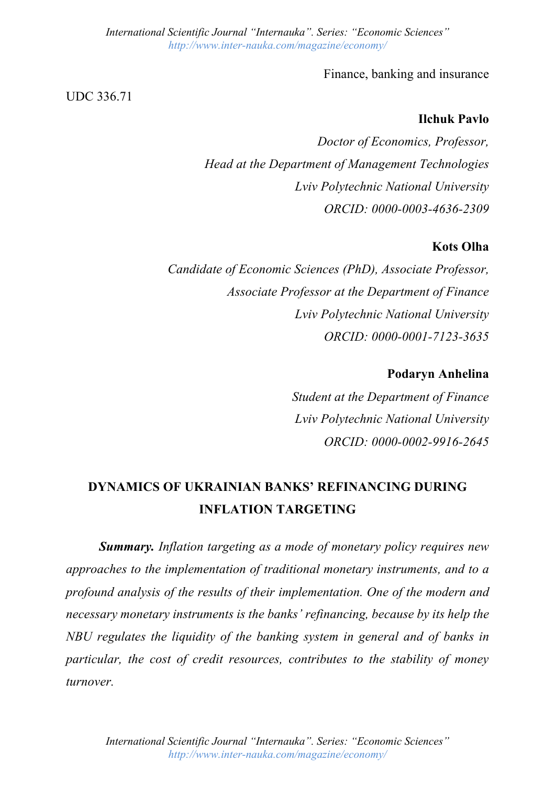Finance, banking and insurance

UDC 336.71

### **Ilchuk Pavlo**

*Doctor of Economics, Professor, Head at the Department of Management Technologies Lviv Polytechnic National University ORCID: 0000-0003-4636-2309*

### **Kots Olha**

*Candidate of Economic Sciences (PhD), Associate Professor, Associate Professor at the Department of Finance Lviv Polytechnic National University ORCID: 0000-0001-7123-3635*

### **Podaryn Anhelina**

*Student at the Department of Finance Lviv Polytechnic National University ORCID: 0000-0002-9916-2645*

# **DYNAMICS OF UKRAINIAN BANKS' REFINANCING DURING INFLATION TARGETING**

*Summary. Inflation targeting as a mode of monetary policy requires new approaches to the implementation of traditional monetary instruments, and to a profound analysis of the results of their implementation. One of the modern and necessary monetary instruments is the banks' refinancing, because by its help the NBU regulates the liquidity of the banking system in general and of banks in particular, the cost of credit resources, contributes to the stability of money turnover.*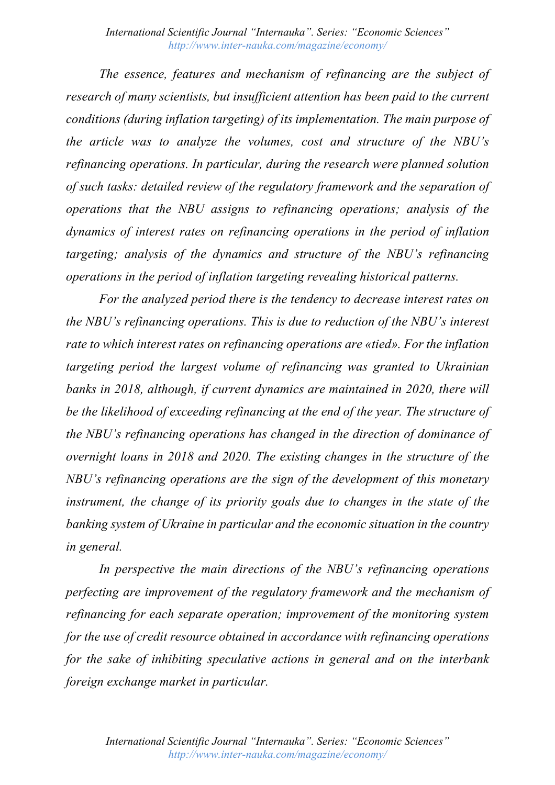*The essence, features and mechanism of refinancing are the subject of research of many scientists, but insufficient attention has been paid to the current conditions (during inflation targeting) of its implementation. The main purpose of the article was to analyze the volumes, cost and structure of the NBU's refinancing operations. In particular, during the research were planned solution of such tasks: detailed review of the regulatory framework and the separation of operations that the NBU assigns to refinancing operations; analysis of the dynamics of interest rates on refinancing operations in the period of inflation targeting; analysis of the dynamics and structure of the NBU's refinancing operations in the period of inflation targeting revealing historical patterns.*

*For the analyzed period there is the tendency to decrease interest rates on the NBU's refinancing operations. This is due to reduction of the NBU's interest rate to which interest rates on refinancing operations are «tied». For the inflation targeting period the largest volume of refinancing was granted to Ukrainian banks in 2018, although, if current dynamics are maintained in 2020, there will be the likelihood of exceeding refinancing at the end of the year. The structure of the NBU's refinancing operations has changed in the direction of dominance of overnight loans in 2018 and 2020. The existing changes in the structure of the NBU's refinancing operations are the sign of the development of this monetary instrument, the change of its priority goals due to changes in the state of the banking system of Ukraine in particular and the economic situation in the country in general.*

*In perspective the main directions of the NBU's refinancing operations perfecting are improvement of the regulatory framework and the mechanism of refinancing for each separate operation; improvement of the monitoring system for the use of credit resource obtained in accordance with refinancing operations for the sake of inhibiting speculative actions in general and on the interbank foreign exchange market in particular.*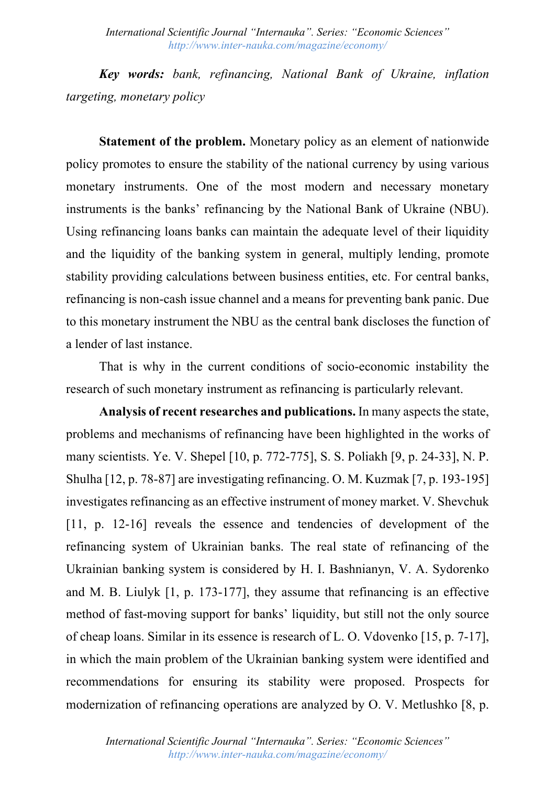*Key words: bank, refinancing, National Bank of Ukraine, inflation targeting, monetary policy*

**Statement of the problem.** Monetary policy as an element of nationwide policy promotes to ensure the stability of the national currency by using various monetary instruments. One of the most modern and necessary monetary instruments is the banks' refinancing by the National Bank of Ukraine (NBU). Using refinancing loans banks can maintain the adequate level of their liquidity and the liquidity of the banking system in general, multiply lending, promote stability providing calculations between business entities, etc. For central banks, refinancing is non-cash issue channel and a means for preventing bank panic. Due to this monetary instrument the NBU as the central bank discloses the function of a lender of last instance.

That is why in the current conditions of socio-economic instability the research of such monetary instrument as refinancing is particularly relevant.

**Analysis of recent researches and publications.** In many aspects the state, problems and mechanisms of refinancing have been highlighted in the works of many scientists. Ye. V. Shepel [10, p. 772-775], S. S. Poliakh [9, p. 24-33], N. P. Shulha [12, p. 78-87] are investigating refinancing. O. M. Kuzmak [7, p. 193-195] investigates refinancing as an effective instrument of money market. V. Shevchuk [11, p. 12-16] reveals the essence and tendencies of development of the refinancing system of Ukrainian banks. The real state of refinancing of the Ukrainian banking system is considered by H. I. Bashnianyn, V. A. Sydorenko and M. B. Liulyk [1, p. 173-177], they assume that refinancing is an effective method of fast-moving support for banks' liquidity, but still not the only source of cheap loans. Similar in its essence is research of L. O. Vdovenko [15, p. 7-17], in which the main problem of the Ukrainian banking system were identified and recommendations for ensuring its stability were proposed. Prospects for modernization of refinancing operations are analyzed by O. V. Metlushko [8, p.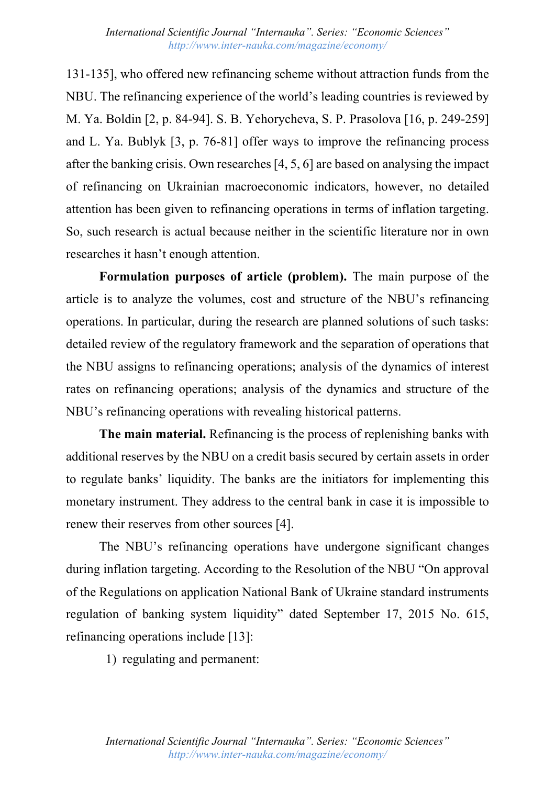131-135], who offered new refinancing scheme without attraction funds from the NBU. The refinancing experience of the world's leading countries is reviewed by M. Ya. Boldin [2, p. 84-94]. S. B. Yehorycheva, S. P. Prasolova [16, p. 249-259] and L. Ya. Bublyk [3, p. 76-81] offer ways to improve the refinancing process after the banking crisis. Own researches [4, 5, 6] are based on analysing the impact of refinancing on Ukrainian macroeconomic indicators, however, no detailed attention has been given to refinancing operations in terms of inflation targeting. So, such research is actual because neither in the scientific literature nor in own researches it hasn't enough attention.

**Formulation purposes of article (problem).** The main purpose of the article is to analyze the volumes, cost and structure of the NBU's refinancing operations. In particular, during the research are planned solutions of such tasks: detailed review of the regulatory framework and the separation of operations that the NBU assigns to refinancing operations; analysis of the dynamics of interest rates on refinancing operations; analysis of the dynamics and structure of the NBU's refinancing operations with revealing historical patterns.

**The main material.** Refinancing is the process of replenishing banks with additional reserves by the NBU on a credit basis secured by certain assets in order to regulate banks' liquidity. The banks are the initiators for implementing this monetary instrument. They address to the central bank in case it is impossible to renew their reserves from other sources [4].

The NBU's refinancing operations have undergone significant changes during inflation targeting. According to the Resolution of the NBU "On approval of the Regulations on application National Bank of Ukraine standard instruments regulation of banking system liquidity" dated September 17, 2015 No. 615, refinancing operations include [13]:

1) regulating and permanent: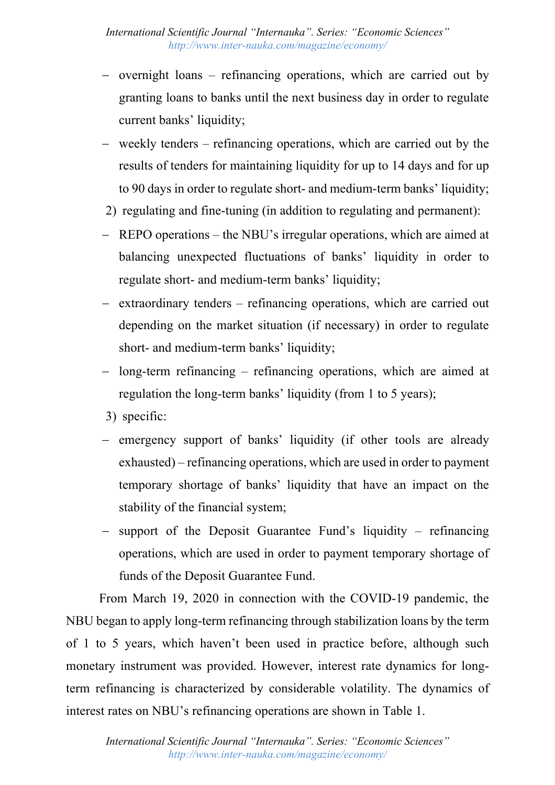- overnight loans refinancing operations, which are carried out by granting loans to banks until the next business day in order to regulate current banks' liquidity;
- weekly tenders refinancing operations, which are carried out by the results of tenders for maintaining liquidity for up to 14 days and for up to 90 days in order to regulate short- and medium-term banks' liquidity;
- 2) regulating and fine-tuning (in addition to regulating and permanent):
- REPO operations the NBU's irregular operations, which are aimed at balancing unexpected fluctuations of banks' liquidity in order to regulate short- and medium-term banks' liquidity;
- extraordinary tenders refinancing operations, which are carried out depending on the market situation (if necessary) in order to regulate short- and medium-term banks' liquidity;
- long-term refinancing refinancing operations, which are aimed at regulation the long-term banks' liquidity (from 1 to 5 years);
- 3) specific:
- emergency support of banks' liquidity (if other tools are already exhausted) – refinancing operations, which are used in order to payment temporary shortage of banks' liquidity that have an impact on the stability of the financial system;
- support of the Deposit Guarantee Fund's liquidity  $-$  refinancing operations, which are used in order to payment temporary shortage of funds of the Deposit Guarantee Fund.

From March 19, 2020 in connection with the COVID-19 pandemic, the NBU began to apply long-term refinancing through stabilization loans by the term of 1 to 5 years, which haven't been used in practice before, although such monetary instrument was provided. However, interest rate dynamics for longterm refinancing is characterized by considerable volatility. The dynamics of interest rates on NBU's refinancing operations are shown in Table 1.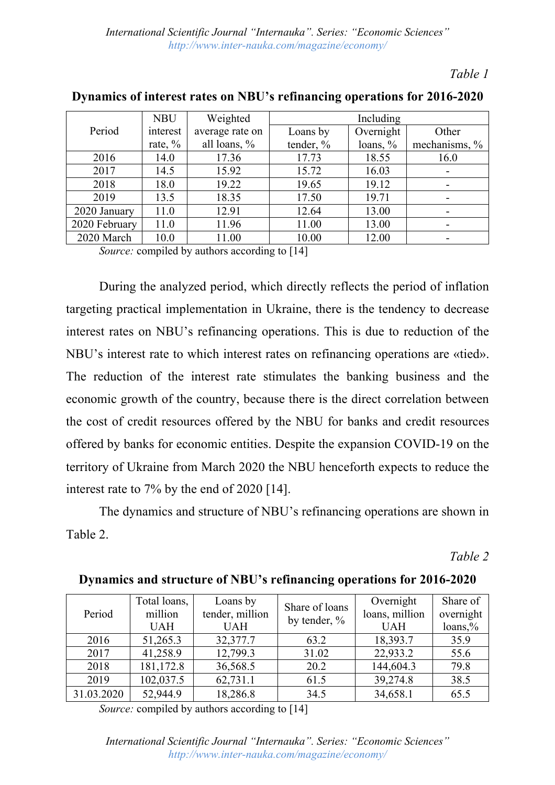*Table 1*

|               | <b>NBU</b> | Weighted        | Including |             |                          |  |
|---------------|------------|-----------------|-----------|-------------|--------------------------|--|
| Period        | interest   | average rate on | Loans by  | Overnight   | Other                    |  |
|               | rate, $\%$ | all loans, $\%$ | tender, % | loans, $\%$ | mechanisms, %            |  |
| 2016          | 14.0       | 17.36           | 17.73     | 18.55       | 16.0                     |  |
| 2017          | 14.5       | 15.92           | 15.72     | 16.03       | $\overline{a}$           |  |
| 2018          | 18.0       | 19.22           | 19.65     | 19.12       | -                        |  |
| 2019          | 13.5       | 18.35           | 17.50     | 19.71       | -                        |  |
| 2020 January  | 11.0       | 12.91           | 12.64     | 13.00       |                          |  |
| 2020 February | 11.0       | 11.96           | 11.00     | 13.00       | $\overline{\phantom{a}}$ |  |
| 2020 March    | 10.0       | 11.00           | 10.00     | 12.00       | ۰                        |  |

**Dynamics of interest rates on NBU's refinancing operations for 2016-2020**

*Source:* compiled by authors according to [14]

During the analyzed period, which directly reflects the period of inflation targeting practical implementation in Ukraine, there is the tendency to decrease interest rates on NBU's refinancing operations. This is due to reduction of the NBU's interest rate to which interest rates on refinancing operations are «tied». The reduction of the interest rate stimulates the banking business and the economic growth of the country, because there is the direct correlation between the cost of credit resources offered by the NBU for banks and credit resources offered by banks for economic entities. Despite the expansion COVID-19 on the territory of Ukraine from March 2020 the NBU henceforth expects to reduce the interest rate to 7% by the end of 2020 [14].

The dynamics and structure of NBU's refinancing operations are shown in Table 2.

*Table 2*

| Period     | Total loans, | Loans by                           | Share of loans | Overnight      | Share of  |
|------------|--------------|------------------------------------|----------------|----------------|-----------|
|            | million      | tender, million<br>by tender, $\%$ |                | loans, million | overnight |
|            | <b>UAH</b>   | <b>UAH</b>                         |                | <b>UAH</b>     | loans, %  |
| 2016       | 51,265.3     | 32,377.7                           | 63.2           | 18,393.7       | 35.9      |
| 2017       | 41,258.9     | 12,799.3                           | 31.02          | 22,933.2       | 55.6      |
| 2018       | 181,172.8    | 36,568.5                           | 20.2           | 144,604.3      | 79.8      |
| 2019       | 102,037.5    | 62,731.1                           | 61.5           | 39,274.8       | 38.5      |
| 31.03.2020 | 52,944.9     | 18,286.8                           | 34.5           | 34,658.1       | 65.5      |

**Dynamics and structure of NBU's refinancing operations for 2016-2020**

*Source:* compiled by authors according to [14]

*International Scientific Journal "Internauka". Series: "Economic Sciences" http://www.inter-nauka.com/magazine/economy/*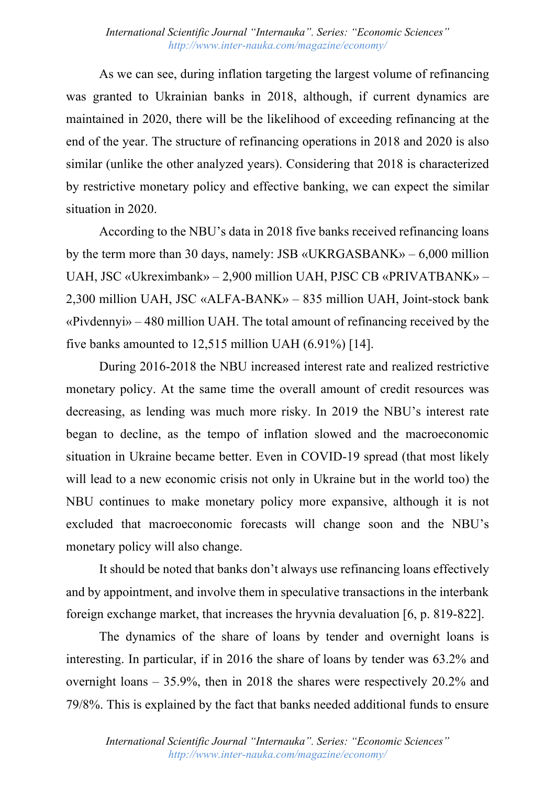As we can see, during inflation targeting the largest volume of refinancing was granted to Ukrainian banks in 2018, although, if current dynamics are maintained in 2020, there will be the likelihood of exceeding refinancing at the end of the year. The structure of refinancing operations in 2018 and 2020 is also similar (unlike the other analyzed years). Considering that 2018 is characterized by restrictive monetary policy and effective banking, we can expect the similar situation in 2020.

According to the NBU's data in 2018 five banks received refinancing loans by the term more than 30 days, namely: JSB «UKRGASBANK» – 6,000 million UAH, JSC «Ukreximbank» – 2,900 million UAH, PJSC CB «PRIVATBANK» – 2,300 million UAH, JSC «ALFA-BANK» – 835 million UAH, Joint-stock bank «Pivdennyi» – 480 million UAH. The total amount of refinancing received by the five banks amounted to 12,515 million UAH (6.91%) [14].

During 2016-2018 the NBU increased interest rate and realized restrictive monetary policy. At the same time the overall amount of credit resources was decreasing, as lending was much more risky. In 2019 the NBU's interest rate began to decline, as the tempo of inflation slowed and the macroeconomic situation in Ukraine became better. Even in COVID-19 spread (that most likely will lead to a new economic crisis not only in Ukraine but in the world too) the NBU continues to make monetary policy more expansive, although it is not excluded that macroeconomic forecasts will change soon and the NBU's monetary policy will also change.

It should be noted that banks don't always use refinancing loans effectively and by appointment, and involve them in speculative transactions in the interbank foreign exchange market, that increases the hryvnia devaluation [6, p. 819-822].

The dynamics of the share of loans by tender and overnight loans is interesting. In particular, if in 2016 the share of loans by tender was 63.2% and overnight loans – 35.9%, then in 2018 the shares were respectively 20.2% and 79/8%. This is explained by the fact that banks needed additional funds to ensure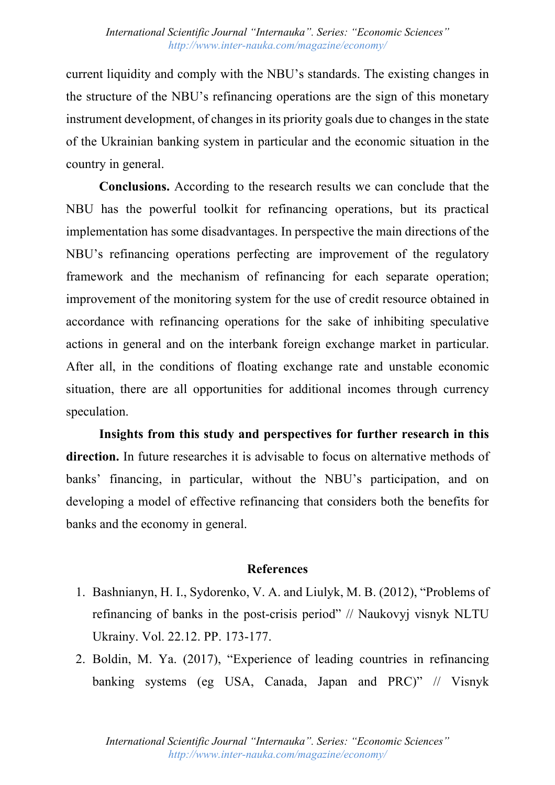current liquidity and comply with the NBU's standards. The existing changes in the structure of the NBU's refinancing operations are the sign of this monetary instrument development, of changes in its priority goals due to changes in the state of the Ukrainian banking system in particular and the economic situation in the country in general.

**Conclusions.** According to the research results we can conclude that the NBU has the powerful toolkit for refinancing operations, but its practical implementation has some disadvantages. In perspective the main directions of the NBU's refinancing operations perfecting are improvement of the regulatory framework and the mechanism of refinancing for each separate operation; improvement of the monitoring system for the use of credit resource obtained in accordance with refinancing operations for the sake of inhibiting speculative actions in general and on the interbank foreign exchange market in particular. After all, in the conditions of floating exchange rate and unstable economic situation, there are all opportunities for additional incomes through currency speculation.

**Insights from this study and perspectives for further research in this direction.** In future researches it is advisable to focus on alternative methods of banks' financing, in particular, without the NBU's participation, and on developing a model of effective refinancing that considers both the benefits for banks and the economy in general.

## **References**

- 1. Bashnianyn, H. I., Sydorenko, V. A. and Liulyk, M. B. (2012), "Problems of refinancing of banks in the post-crisis period" // Naukovyj visnyk NLTU Ukrainy. Vol. 22.12. PP. 173-177.
- 2. Boldin, M. Ya. (2017), "Experience of leading countries in refinancing banking systems (eg USA, Canada, Japan and PRC)" // Visnyk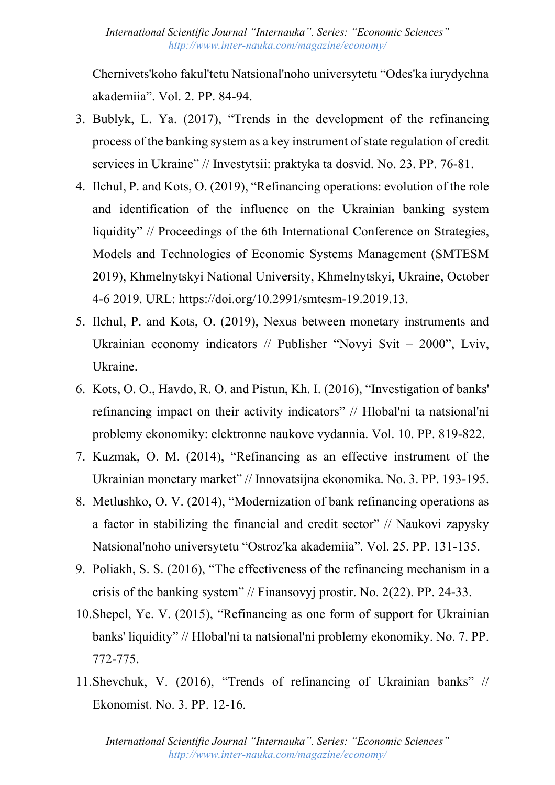Chernivets'koho fakul'tetu Natsional'noho universytetu "Odes'ka iurydychna akademiia". Vol. 2. PP. 84-94.

- 3. Bublyk, L. Ya. (2017), "Trends in the development of the refinancing process of the banking system as a key instrument of state regulation of credit services in Ukraine" // Investytsii: praktyka ta dosvid. No. 23. PP. 76-81.
- 4. Ilchul, P. and Kots, O. (2019), "Refinancing operations: evolution of the role and identification of the influence on the Ukrainian banking system liquidity" // Proceedings of the 6th International Conference on Strategies, Models and Technologies of Economic Systems Management (SMTESM 2019), Khmelnytskyi National University, Khmelnytskyi, Ukraine, October 4-6 2019. URL: https://doi.org/10.2991/smtesm-19.2019.13.
- 5. Ilchul, P. and Kots, O. (2019), Nexus between monetary instruments and Ukrainian economy indicators // Publisher "Novyi Svit – 2000", Lviv, Ukraine.
- 6. Kots, О. О., Havdo, R. O. and Pistun, Kh. I. (2016), "Investigation of banks' refinancing impact on their activity indicators" // Hlobal'ni ta natsional'ni problemy ekonomiky: elektronne naukove vydannia. Vol. 10. PP. 819-822.
- 7. Kuzmak, O. M. (2014), "Refinancing as an effective instrument of the Ukrainian monetary market" // Innovatsijna ekonomika. No. 3. PP. 193-195.
- 8. Metlushko, O. V. (2014), "Modernization of bank refinancing operations as a factor in stabilizing the financial and credit sector" // Naukovi zapysky Natsional'noho universytetu "Ostroz'ka akademiia". Vol. 25. PP. 131-135.
- 9. Poliakh, S. S. (2016), "The effectiveness of the refinancing mechanism in a crisis of the banking system" // Finansovyj prostir. No. 2(22). PP. 24-33.
- 10.Shepel, Ye. V. (2015), "Refinancing as one form of support for Ukrainian banks' liquidity" // Hlobal'ni ta natsional'ni problemy ekonomiky. No. 7. PP. 772-775.
- 11.Shevchuk, V. (2016), "Trends of refinancing of Ukrainian banks" // Ekonomist. No. 3. PP. 12-16.